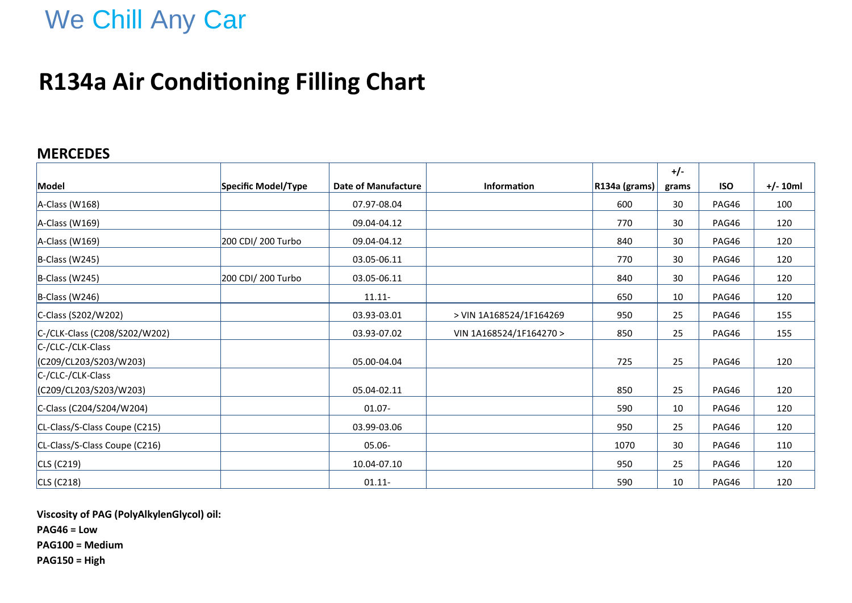# We Chill Any Car

## **R134a Air Conditioning Filling Chart**

### **MERCEDES**

|                               |                     |                            |                         |               | $+/-$ |            |            |
|-------------------------------|---------------------|----------------------------|-------------------------|---------------|-------|------------|------------|
| Model                         | Specific Model/Type | <b>Date of Manufacture</b> | Information             | R134a (grams) | grams | <b>ISO</b> | $+/- 10ml$ |
| A-Class (W168)                |                     | 07.97-08.04                |                         | 600           | 30    | PAG46      | 100        |
| A-Class (W169)                |                     | 09.04-04.12                |                         | 770           | 30    | PAG46      | 120        |
| A-Class (W169)                | 200 CDI/ 200 Turbo  | 09.04-04.12                |                         | 840           | 30    | PAG46      | 120        |
| B-Class (W245)                |                     | 03.05-06.11                |                         | 770           | 30    | PAG46      | 120        |
| B-Class (W245)                | 200 CDI/ 200 Turbo  | 03.05-06.11                |                         | 840           | 30    | PAG46      | 120        |
| B-Class (W246)                |                     | $11.11 -$                  |                         | 650           | 10    | PAG46      | 120        |
| C-Class (S202/W202)           |                     | 03.93-03.01                | > VIN 1A168524/1F164269 | 950           | 25    | PAG46      | 155        |
| C-/CLK-Class (C208/S202/W202) |                     | 03.93-07.02                | VIN 1A168524/1F164270 > | 850           | 25    | PAG46      | 155        |
| C-/CLC-/CLK-Class             |                     |                            |                         |               |       |            |            |
| (C209/CL203/S203/W203)        |                     | 05.00-04.04                |                         | 725           | 25    | PAG46      | 120        |
| C-/CLC-/CLK-Class             |                     |                            |                         |               |       |            |            |
| (C209/CL203/S203/W203)        |                     | 05.04-02.11                |                         | 850           | 25    | PAG46      | 120        |
| C-Class (C204/S204/W204)      |                     | $01.07 -$                  |                         | 590           | 10    | PAG46      | 120        |
| CL-Class/S-Class Coupe (C215) |                     | 03.99-03.06                |                         | 950           | 25    | PAG46      | 120        |
| CL-Class/S-Class Coupe (C216) |                     | 05.06-                     |                         | 1070          | 30    | PAG46      | 110        |
| CLS (C219)                    |                     | 10.04-07.10                |                         | 950           | 25    | PAG46      | 120        |
| CLS (C218)                    |                     | $01.11 -$                  |                         | 590           | 10    | PAG46      | 120        |

**Viscosity of PAG (PolyAlkylenGlycol) oil:**

**PAG46 = Low**

**PAG100 = Medium**

**PAG150 = High**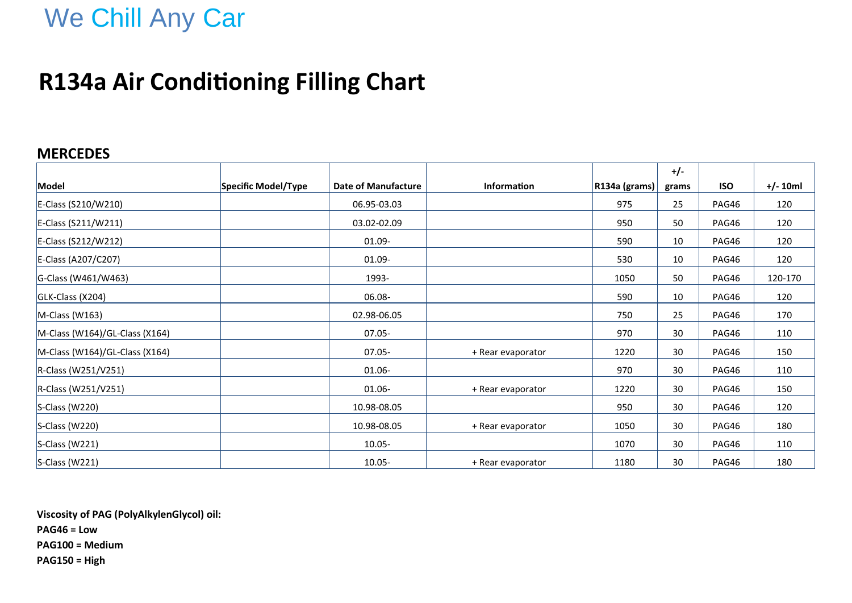# We Chill Any Car

## **R134a Air Conditioning Filling Chart**

### **MERCEDES**

|                                |                     |                     |                   |               | $+/-$ |            |            |
|--------------------------------|---------------------|---------------------|-------------------|---------------|-------|------------|------------|
| Model                          | Specific Model/Type | Date of Manufacture | Information       | R134a (grams) | grams | <b>ISO</b> | $+/- 10ml$ |
| E-Class (S210/W210)            |                     | 06.95-03.03         |                   | 975           | 25    | PAG46      | 120        |
| E-Class (S211/W211)            |                     | 03.02-02.09         |                   | 950           | 50    | PAG46      | 120        |
| E-Class (S212/W212)            |                     | $01.09 -$           |                   | 590           | 10    | PAG46      | 120        |
| E-Class (A207/C207)            |                     | 01.09-              |                   | 530           | 10    | PAG46      | 120        |
| G-Class (W461/W463)            |                     | 1993-               |                   | 1050          | 50    | PAG46      | 120-170    |
| GLK-Class (X204)               |                     | 06.08-              |                   | 590           | 10    | PAG46      | 120        |
| $M-Class (W163)$               |                     | 02.98-06.05         |                   | 750           | 25    | PAG46      | 170        |
| M-Class (W164)/GL-Class (X164) |                     | $07.05 -$           |                   | 970           | 30    | PAG46      | 110        |
| M-Class (W164)/GL-Class (X164) |                     | $07.05 -$           | + Rear evaporator | 1220          | 30    | PAG46      | 150        |
| R-Class (W251/V251)            |                     | 01.06-              |                   | 970           | 30    | PAG46      | 110        |
| R-Class (W251/V251)            |                     | $01.06 -$           | + Rear evaporator | 1220          | 30    | PAG46      | 150        |
| S-Class (W220)                 |                     | 10.98-08.05         |                   | 950           | 30    | PAG46      | 120        |
| S-Class (W220)                 |                     | 10.98-08.05         | + Rear evaporator | 1050          | 30    | PAG46      | 180        |
| $S$ -Class (W221)              |                     | $10.05 -$           |                   | 1070          | 30    | PAG46      | 110        |
| $S$ -Class (W221)              |                     | $10.05 -$           | + Rear evaporator | 1180          | 30    | PAG46      | 180        |

**Viscosity of PAG (PolyAlkylenGlycol) oil: PAG46 = Low PAG100 = Medium PAG150 = High**